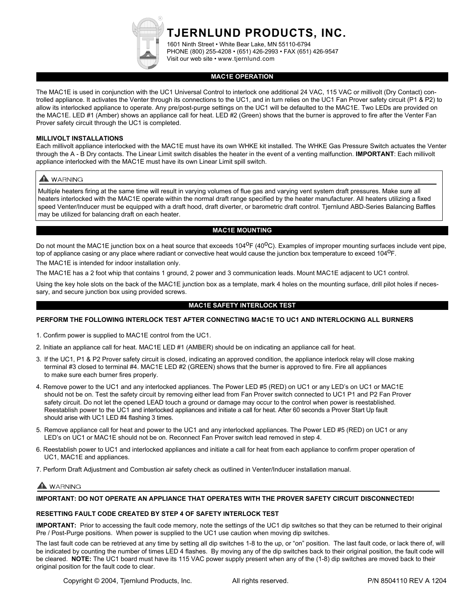**TJERNLUND PRODUCTS, INC.**

1601 Ninth Street • White Bear Lake, MN 55110-6794 PHONE (800) 255-4208 • (651) 426-2993 • FAX (651) 426-9547 Visit our web site • www.tjernlund.com

#### **MAC1E OPERATION**

The MAC1E is used in conjunction with the UC1 Universal Control to interlock one additional 24 VAC, 115 VAC or millivolt (Dry Contact) controlled appliance. It activates the Venter through its connections to the UC1, and in turn relies on the UC1 Fan Prover safety circuit (P1 & P2) to allow its interlocked appliance to operate. Any pre/post-purge settings on the UC1 will be defaulted to the MAC1E. Two LEDs are provided on the MAC1E. LED #1 (Amber) shows an appliance call for heat. LED #2 (Green) shows that the burner is approved to fire after the Venter Fan Prover safety circuit through the UC1 is completed.

#### **MILLIVOLT INSTALLATIONS**

Each millivolt appliance interlocked with the MAC1E must have its own WHKE kit installed. The WHKE Gas Pressure Switch actuates the Venter through the A - B Dry contacts. The Linear Limit switch disables the heater in the event of a venting malfunction. **IMPORTANT**: Each millivolt appliance interlocked with the MAC1E must have its own Linear Limit spill switch.

# A WARNING

Multiple heaters firing at the same time will result in varying volumes of flue gas and varying vent system draft pressures. Make sure all heaters interlocked with the MAC1E operate within the normal draft range specified by the heater manufacturer. All heaters utilizing a fixed speed Venter/Inducer must be equipped with a draft hood, draft diverter, or barometric draft control. Tjernlund ABD-Series Balancing Baffles may be utilized for balancing draft on each heater.

## **MAC1E MOUNTING**

Do not mount the MAC1E junction box on a heat source that exceeds 104<sup>o</sup>F (40<sup>o</sup>C). Examples of improper mounting surfaces include vent pipe, top of appliance casing or any place where radiant or convective heat would cause the junction box temperature to exceed 104<sup>0</sup>F.

The MAC1E is intended for indoor installation only.

The MAC1E has a 2 foot whip that contains 1 ground, 2 power and 3 communication leads. Mount MAC1E adjacent to UC1 control.

Using the key hole slots on the back of the MAC1E junction box as a template, mark 4 holes on the mounting surface, drill pilot holes if necessary, and secure junction box using provided screws.

#### **MAC1E SAFETY INTERLOCK TEST**

### **PERFORM THE FOLLOWING INTERLOCK TEST AFTER CONNECTING MAC1E TO UC1 AND INTERLOCKING ALL BURNERS**

- 1. Confirm power is supplied to MAC1E control from the UC1.
- 2. Initiate an appliance call for heat. MAC1E LED #1 (AMBER) should be on indicating an appliance call for heat.
- 3. If the UC1, P1 & P2 Prover safety circuit is closed, indicating an approved condition, the appliance interlock relay will close making terminal #3 closed to terminal #4. MAC1E LED #2 (GREEN) shows that the burner is approved to fire. Fire all appliances to make sure each burner fires properly.
- 4. Remove power to the UC1 and any interlocked appliances. The Power LED #5 (RED) on UC1 or any LED's on UC1 or MAC1E should not be on. Test the safety circuit by removing either lead from Fan Prover switch connected to UC1 P1 and P2 Fan Prover safety circuit. Do not let the opened LEAD touch a ground or damage may occur to the control when power is reestablished. Reestablish power to the UC1 and interlocked appliances and initiate a call for heat. After 60 seconds a Prover Start Up fault should arise with UC1 LED #4 flashing 3 times.
- 5. Remove appliance call for heat and power to the UC1 and any interlocked appliances. The Power LED #5 (RED) on UC1 or any LED's on UC1 or MAC1E should not be on. Reconnect Fan Prover switch lead removed in step 4.
- 6. Reestablish power to UC1 and interlocked appliances and initiate a call for heat from each appliance to confirm proper operation of UC1, MAC1E and appliances.
- 7. Perform Draft Adjustment and Combustion air safety check as outlined in Venter/Inducer installation manual.

# **WARNING**

**IMPORTANT: DO NOT OPERATE AN APPLIANCE THAT OPERATES WITH THE PROVER SAFETY CIRCUIT DISCONNECTED!**

#### **RESETTING FAULT CODE CREATED BY STEP 4 OF SAFETY INTERLOCK TEST**

**IMPORTANT:** Prior to accessing the fault code memory, note the settings of the UC1 dip switches so that they can be returned to their original Pre / Post-Purge positions. When power is supplied to the UC1 use caution when moving dip switches.

The last fault code can be retrieved at any time by setting all dip switches 1-8 to the up, or "on" position. The last fault code, or lack there of, will be indicated by counting the number of times LED 4 flashes. By moving any of the dip switches back to their original position, the fault code will be cleared. **NOTE:** The UC1 board must have its 115 VAC power supply present when any of the (1-8) dip switches are moved back to their original position for the fault code to clear.

Copyright © 2004, Tjernlund Products, Inc. All rights reserved. P/N 8504110 REV A 1204